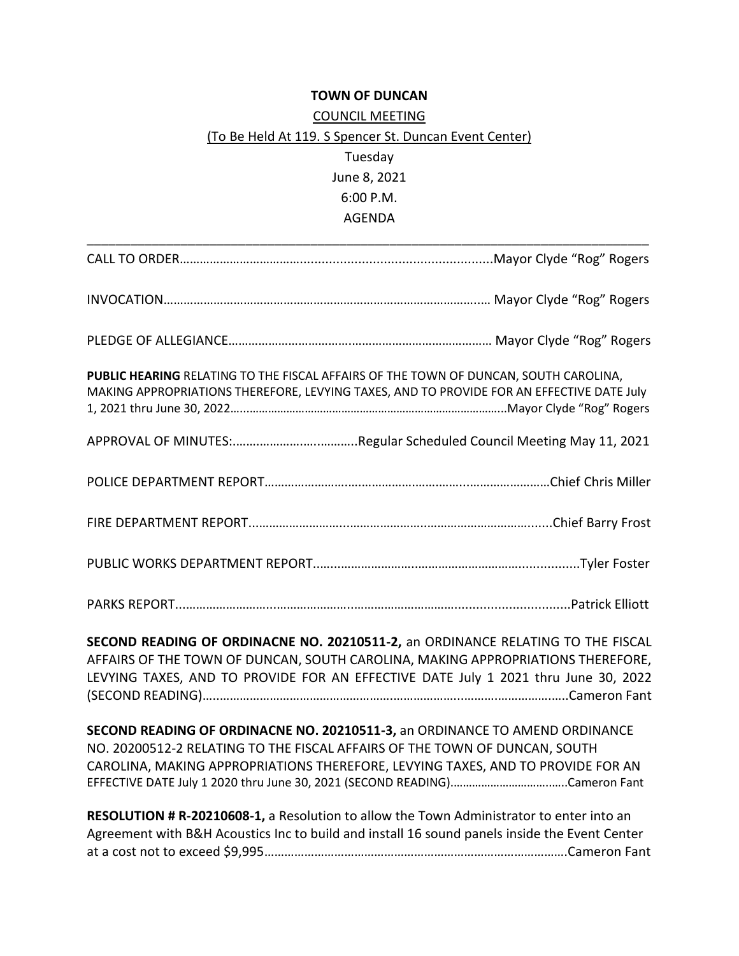## **TOWN OF DUNCAN**

## COUNCIL MEETING (To Be Held At 119. S Spencer St. Duncan Event Center) Tuesday June 8, 2021 6:00 P.M. AGENDA

| PUBLIC HEARING RELATING TO THE FISCAL AFFAIRS OF THE TOWN OF DUNCAN, SOUTH CAROLINA,<br>MAKING APPROPRIATIONS THEREFORE, LEVYING TAXES, AND TO PROVIDE FOR AN EFFECTIVE DATE July                                                                        |
|----------------------------------------------------------------------------------------------------------------------------------------------------------------------------------------------------------------------------------------------------------|
|                                                                                                                                                                                                                                                          |
|                                                                                                                                                                                                                                                          |
|                                                                                                                                                                                                                                                          |
|                                                                                                                                                                                                                                                          |
|                                                                                                                                                                                                                                                          |
| SECOND READING OF ORDINACNE NO. 20210511-2, an ORDINANCE RELATING TO THE FISCAL<br>AFFAIRS OF THE TOWN OF DUNCAN, SOUTH CAROLINA, MAKING APPROPRIATIONS THEREFORE,<br>LEVYING TAXES, AND TO PROVIDE FOR AN EFFECTIVE DATE July 1 2021 thru June 30, 2022 |
| SECOND READING OF ORDINACNE NO. 20210511-3, an ORDINANCE TO AMEND ORDINANCE<br>NO. 20200512-2 RELATING TO THE FISCAL AFFAIRS OF THE TOWN OF DUNCAN, SOUTH<br>CAROLINA, MAKING APPROPRIATIONS THEREFORE, LEVYING TAXES, AND TO PROVIDE FOR AN             |
| RESOLUTION # R-20210608-1, a Resolution to allow the Town Administrator to enter into an<br>Agreement with B&H Acoustics Inc to build and install 16 sound panels inside the Event Center                                                                |